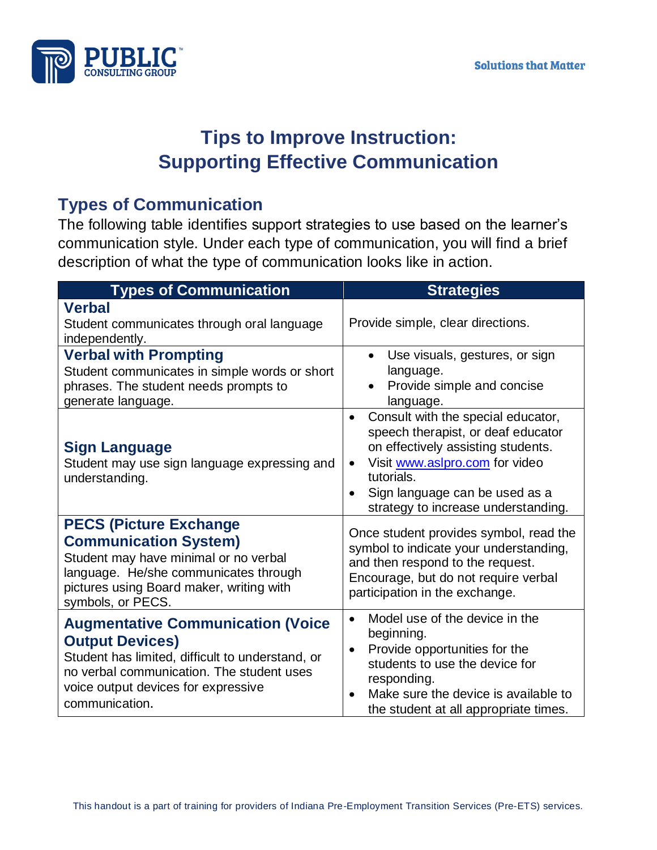

## **Tips to Improve Instruction: Supporting Effective Communication**

## **Types of Communication**

The following table identifies support strategies to use based on the learner's communication style. Under each type of communication, you will find a brief description of what the type of communication looks like in action.

| <b>Types of Communication</b>                                                                                                                                                                                                | <b>Strategies</b>                                                                                                                                                                                                                                                              |
|------------------------------------------------------------------------------------------------------------------------------------------------------------------------------------------------------------------------------|--------------------------------------------------------------------------------------------------------------------------------------------------------------------------------------------------------------------------------------------------------------------------------|
| <b>Verbal</b><br>Student communicates through oral language<br>independently.                                                                                                                                                | Provide simple, clear directions.                                                                                                                                                                                                                                              |
| <b>Verbal with Prompting</b><br>Student communicates in simple words or short<br>phrases. The student needs prompts to<br>generate language.                                                                                 | Use visuals, gestures, or sign<br>$\bullet$<br>language.<br>Provide simple and concise<br>language.                                                                                                                                                                            |
| <b>Sign Language</b><br>Student may use sign language expressing and<br>understanding.                                                                                                                                       | Consult with the special educator,<br>$\bullet$<br>speech therapist, or deaf educator<br>on effectively assisting students.<br>Visit www.aslpro.com for video<br>$\bullet$<br>tutorials.<br>Sign language can be used as a<br>$\bullet$<br>strategy to increase understanding. |
| <b>PECS (Picture Exchange</b><br><b>Communication System)</b><br>Student may have minimal or no verbal<br>language. He/she communicates through<br>pictures using Board maker, writing with<br>symbols, or PECS.             | Once student provides symbol, read the<br>symbol to indicate your understanding,<br>and then respond to the request.<br>Encourage, but do not require verbal<br>participation in the exchange.                                                                                 |
| <b>Augmentative Communication (Voice</b><br><b>Output Devices)</b><br>Student has limited, difficult to understand, or<br>no verbal communication. The student uses<br>voice output devices for expressive<br>communication. | Model use of the device in the<br>$\bullet$<br>beginning.<br>Provide opportunities for the<br>$\bullet$<br>students to use the device for<br>responding.<br>Make sure the device is available to<br>the student at all appropriate times.                                      |